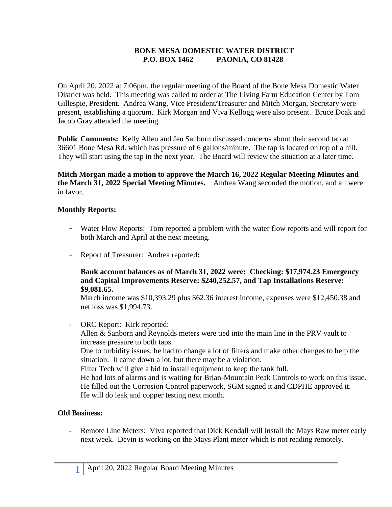## **BONE MESA DOMESTIC WATER DISTRICT P.O. BOX 1462 PAONIA, CO 81428**

On April 20, 2022 at 7:06pm, the regular meeting of the Board of the Bone Mesa Domestic Water District was held. This meeting was called to order at The Living Farm Education Center by Tom Gillespie, President. Andrea Wang, Vice President/Treasurer and Mitch Morgan, Secretary were present, establishing a quorum. Kirk Morgan and Viva Kellogg were also present. Bruce Doak and Jacob Gray attended the meeting.

**Public Comments:** Kelly Allen and Jen Sanborn discussed concerns about their second tap at 36601 Bone Mesa Rd. which has pressure of 6 gallons/minute. The tap is located on top of a hill. They will start using the tap in the next year. The Board will review the situation at a later time.

**Mitch Morgan made a motion to approve the March 16, 2022 Regular Meeting Minutes and the March 31, 2022 Special Meeting Minutes.** Andrea Wang seconded the motion, and all were in favor.

## **Monthly Reports:**

- Water Flow Reports: Tom reported a problem with the water flow reports and will report for both March and April at the next meeting.
- Report of Treasurer: Andrea reported**:**

#### **Bank account balances as of March 31, 2022 were: Checking: \$17,974.23 Emergency and Capital Improvements Reserve: \$240,252.57, and Tap Installations Reserve: \$9,081.65.**

March income was \$10,393.29 plus \$62.36 interest income, expenses were \$12,450.38 and net loss was \$1,994.73.

- ORC Report: Kirk reported:

Allen & Sanborn and Reynolds meters were tied into the main line in the PRV vault to increase pressure to both taps.

Due to turbidity issues, he had to change a lot of filters and make other changes to help the situation. It came down a lot, but there may be a violation.

Filter Tech will give a bid to install equipment to keep the tank full.

He had lots of alarms and is waiting for Brian-Mountain Peak Controls to work on this issue. He filled out the Corrosion Control paperwork, SGM signed it and CDPHE approved it. He will do leak and copper testing next month.

## **Old Business:**

- Remote Line Meters: Viva reported that Dick Kendall will install the Mays Raw meter early next week. Devin is working on the Mays Plant meter which is not reading remotely.